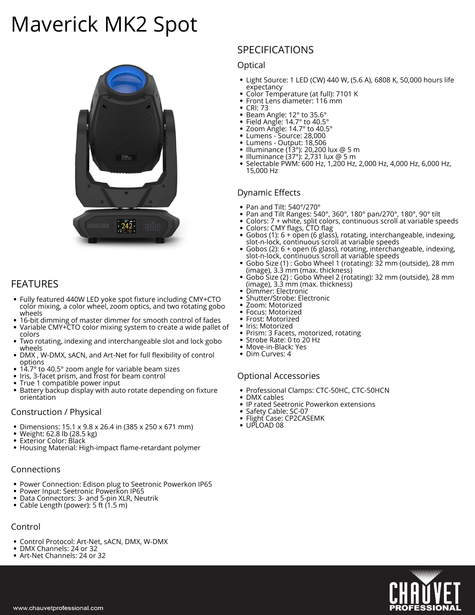# **Maverick MK2 Spot**



# **FEATURES**

- Fully featured 440W LED yoke spot fixture including CMY+CTO color mixing, a color wheel, zoom optics, and two rotating gobo wheels
- 16-bit dimming of master dimmer for smooth control of fades
- Variable CMY+CTO color mixing system to create a wide pallet of colors
- Two rotating, indexing and interchangeable slot and lock gobo wheels
- DMX , W-DMX, sACN, and Art-Net for full flexibility of control options
- 14.7° to 40.5° zoom angle for variable beam sizes
- Iris, 3-facet prism, and frost for beam control
- True 1 compatible power input
- Battery backup display with auto rotate depending on fixture orientation

#### **Construction / Physical**

- Dimensions: 15.1 x 9.8 x 26.4 in (385 x 250 x 671 mm)
- Weight: 62.8 lb (28.5 kg)
- Exterior Color: Black
- Housing Material: High-impact flame-retardant polymer

#### **Connections**

- Power Connection: Edison plug to Seetronic Powerkon IP65
- Power Input: Seetronic Powerkon IP65
- Data Connectors: 3- and 5-pin XLR, Neutrik
- Cable Length (power): 5 ft (1.5 m)

# **Control**

- Control Protocol: Art-Net, sACN, DMX, W-DMX
- DMX Channels: 24 or 32
- Art-Net Channels: 24 or 32

# **SPECIFICATIONS**

#### **Optical**

- Light Source: 1 LED (CW) 440 W, (5.6 A), 6808 K, 50,000 hours life expectancy
- Color Temperature (at full): 7101 K
- $\bullet$ Front Lens diameter: 116 mm
- CRI: 73
- Beam Angle: 12° to 35.6°
- Field Angle: 14.7° to 40.5°
- Zoom Angle: 14.7° to 40.5°  $\bullet$
- Lumens Source: 28,000 Lumens - Output: 18,506 ٠
- Illuminance (13°): 20,200 lux @ 5 m
- $\bullet$ Illuminance (37°): 2,731 lux @ 5 m
- Selectable PWM: 600 Hz, 1,200 Hz, 2,000 Hz, 4,000 Hz, 6,000 Hz, 15,000 Hz

## **Dynamic Effects**

- Pan and Tilt: 540°/270°
- Pan and Tilt Ranges: 540°, 360°, 180° pan/270°, 180°, 90° tilt  $\bullet$
- $\bullet$ Colors: 7 + white, split colors, continuous scroll at variable speeds
- ٠ Colors: CMY flags, CTO flag Gobos (1): 6 + open (6 glass), rotating, interchangeable, indexing,
- slot-n-lock, continuous scroll at variable speeds Gobos (2): 6 + open (6 glass), rotating, interchangeable, indexing,
- slot-n-lock, continuous scroll at variable speeds Gobo Size (1) : Gobo Wheel 1 (rotating): 32 mm (outside), 28 mm
- (image), 3.3 mm (max. thickness)
- Gobo Size (2) : Gobo Wheel 2 (rotating): 32 mm (outside), 28 mm (image), 3.3 mm (max. thickness)
- Dimmer: Electronic
- Shutter/Strobe: Electronic  $\bullet$
- $\bullet$ Zoom: Motorized
- Focus: Motorized  $\bullet$
- $\bullet$ Frost: Motorized
- Iris: Motorized
- Prism: 3 Facets, motorized, rotating
- Strobe Rate: 0 to 20 Hz
- Move-in-Black: Yes  $\bullet$
- Dim Curves: 4

### **Optional Accessories**

- Professional Clamps: CTC-50HC, CTC-50HCN
- $\bullet$ DMX cables
- $\bullet$ IP rated Seetronic Powerkon extensions
- Safety Cable: SC-07
- Flight Case: CP2CASEMK
- UPLOAD 08